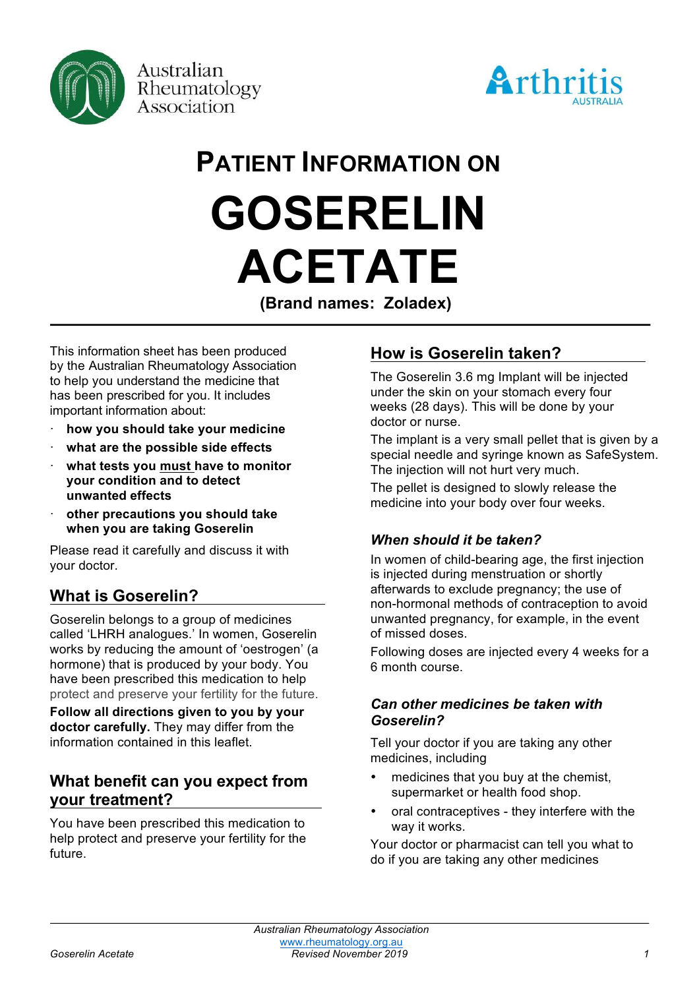



# **PATIENT INFORMATION ON GOSERELIN ACETATE**

**(Brand names: Zoladex)**

This information sheet has been produced by the Australian Rheumatology Association to help you understand the medicine that has been prescribed for you. It includes important information about:

- · **how you should take your medicine**
- · **what are the possible side effects**
- · **what tests you must have to monitor your condition and to detect unwanted effects**
- · **other precautions you should take when you are taking Goserelin**

Please read it carefully and discuss it with your doctor.

# **What is Goserelin?**

Goserelin belongs to a group of medicines called 'LHRH analogues.' In women, Goserelin works by reducing the amount of 'oestrogen' (a hormone) that is produced by your body. You have been prescribed this medication to help protect and preserve your fertility for the future.

**Follow all directions given to you by your doctor carefully.** They may differ from the information contained in this leaflet.

## **What benefit can you expect from your treatment?**

You have been prescribed this medication to help protect and preserve your fertility for the future.

# **How is Goserelin taken?**

The Goserelin 3.6 mg Implant will be injected under the skin on your stomach every four weeks (28 days). This will be done by your doctor or nurse.

The implant is a very small pellet that is given by a special needle and syringe known as SafeSystem. The injection will not hurt very much.

The pellet is designed to slowly release the medicine into your body over four weeks.

#### *When should it be taken?*

In women of child-bearing age, the first injection is injected during menstruation or shortly afterwards to exclude pregnancy; the use of non-hormonal methods of contraception to avoid unwanted pregnancy, for example, in the event of missed doses.

Following doses are injected every 4 weeks for a 6 month course.

#### *Can other medicines be taken with Goserelin?*

Tell your doctor if you are taking any other medicines, including

- medicines that you buy at the chemist, supermarket or health food shop.
- oral contraceptives they interfere with the way it works.

Your doctor or pharmacist can tell you what to do if you are taking any other medicines